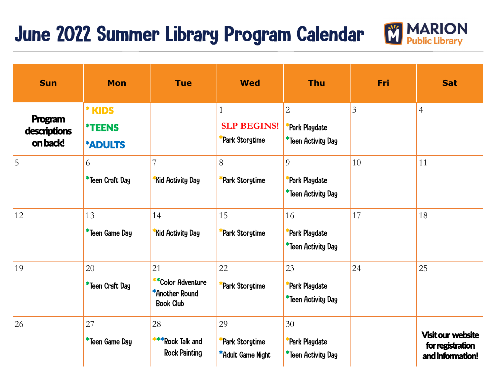## June 2022 Summer Library Program Calendar



| <b>Sun</b>                          | <b>Mon</b>                                       | <b>Tue</b>                                                    | <b>Wed</b>                                           | <b>Thu</b>                                            | Fri            | <b>Sat</b>                                                       |
|-------------------------------------|--------------------------------------------------|---------------------------------------------------------------|------------------------------------------------------|-------------------------------------------------------|----------------|------------------------------------------------------------------|
| Program<br>descriptions<br>on back! | * KIDS<br><i><b>*TEENS</b></i><br><b>*ADULTS</b> |                                                               | $\mathbf{1}$<br><b>SLP BEGINS!</b><br>Park Storytime | $\overline{2}$<br>Park Playdate<br>*Teen Activity Day | $\overline{3}$ | $\overline{4}$                                                   |
| 5                                   | 6<br>*Teen Craft Day                             | 7<br>Kid Activity Day                                         | 8<br>Park Storytime                                  | 9<br>Park Playdate<br>*Teen Activity Day              | 10             | 11                                                               |
| 12                                  | 13<br>*Teen Game Day                             | 14<br>Kid Activity Day                                        | 15<br>Park Storytime                                 | 16<br>Park Playdate<br>*Teen Activity Day             | 17             | 18                                                               |
| 19                                  | 20<br>*Teen Craft Day                            | 21<br>**Color Adventure<br>*Another Round<br><b>Book Club</b> | 22<br>Park Storytime                                 | 23<br>Park Playdate<br>*Teen Activity Day             | 24             | 25                                                               |
| 26                                  | 27<br>*Teen Game Day                             | 28<br>***Rock Talk and<br><b>Rock Painting</b>                | 29<br>Park Storytime<br>*Adult Game Night            | 30<br>Park Playdate<br>*Teen Activity Day             |                | <b>Visit our website</b><br>for registration<br>and information! |